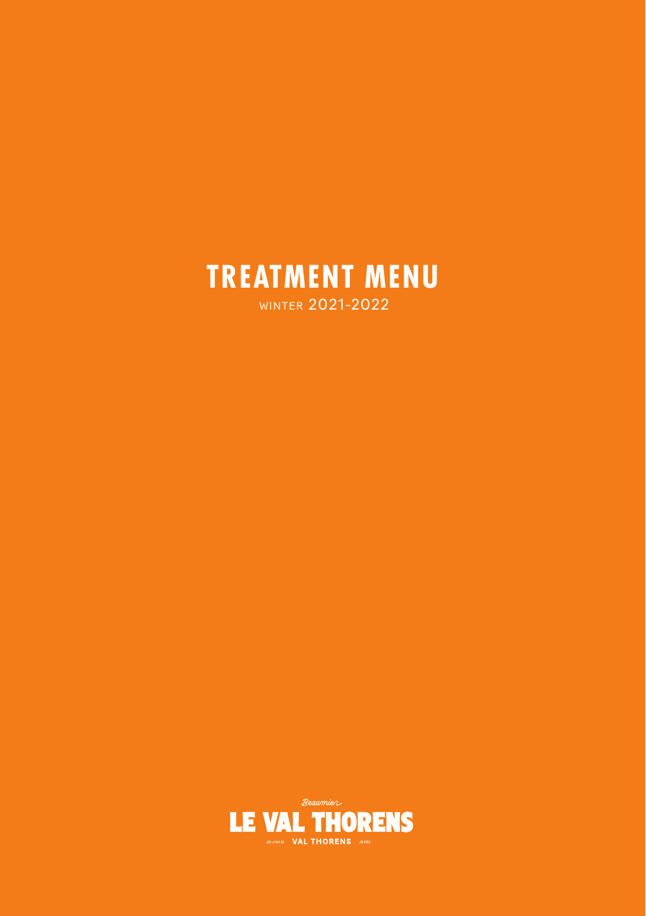# **TREATMENT MENU**

winter 2021-2022

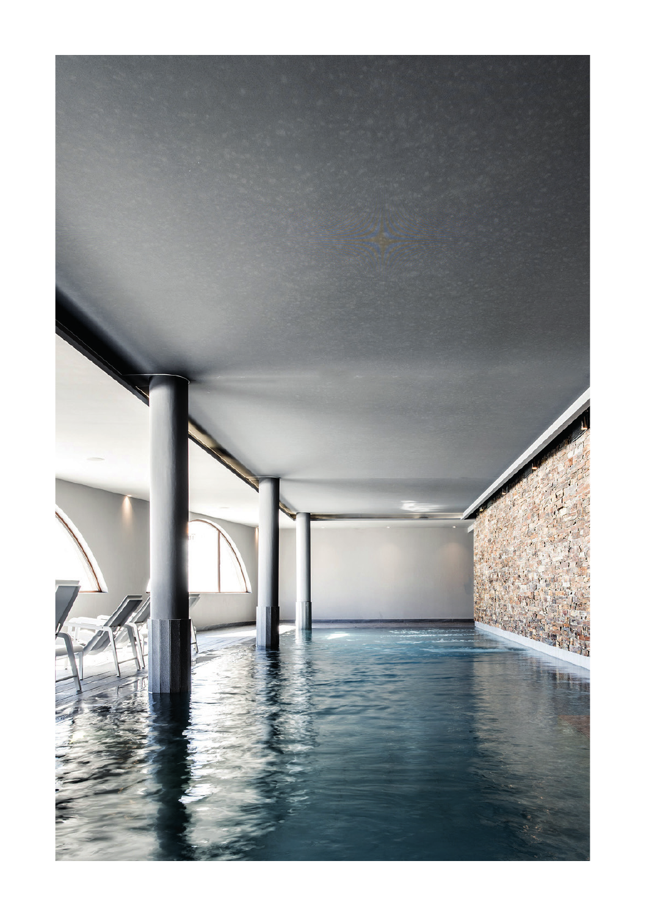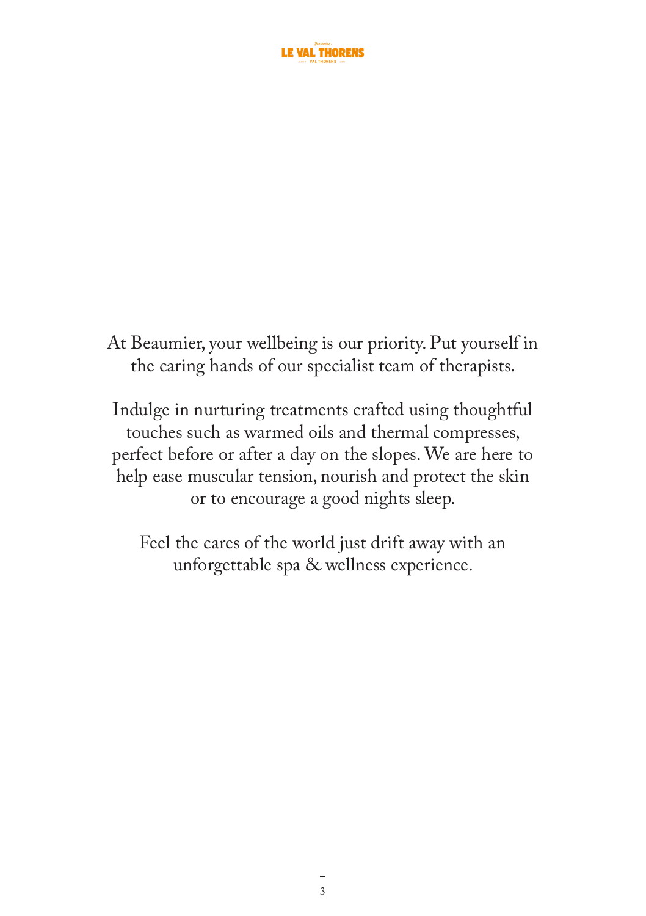

At Beaumier, your wellbeing is our priority. Put yourself in the caring hands of our specialist team of therapists.

Indulge in nurturing treatments crafted using thoughtful touches such as warmed oils and thermal compresses, perfect before or after a day on the slopes. We are here to help ease muscular tension, nourish and protect the skin or to encourage a good nights sleep.

Feel the cares of the world just drift away with an unforgettable spa & wellness experience.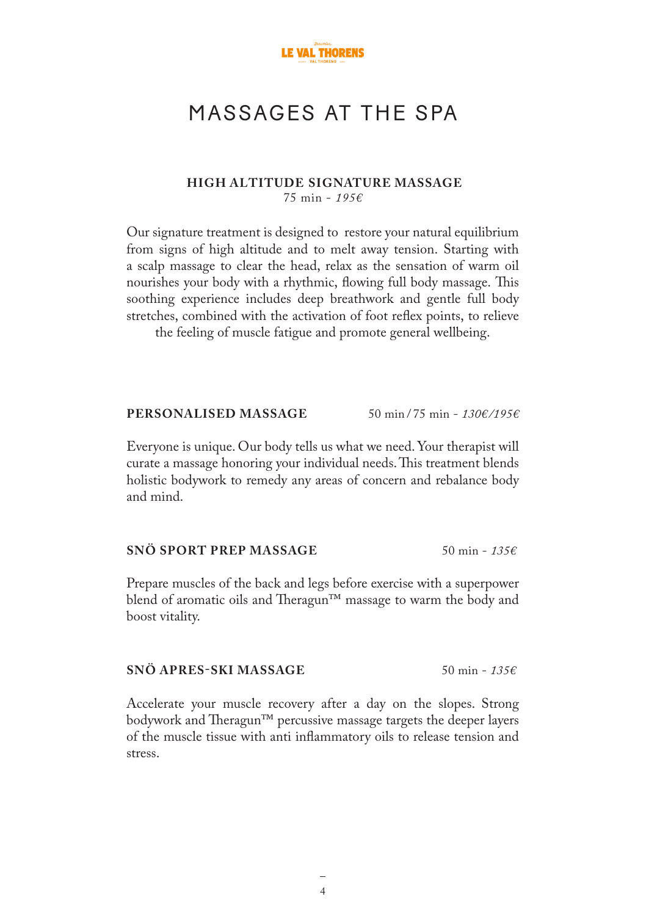

# MASSAGES AT THE SPA

### **HIGH ALTITUDE SIGNATURE MASSAGE** 75 min - *195€*

Our signature treatment is designed to restore your natural equilibrium from signs of high altitude and to melt away tension. Starting with a scalp massage to clear the head, relax as the sensation of warm oil nourishes your body with a rhythmic, flowing full body massage. This soothing experience includes deep breathwork and gentle full body stretches, combined with the activation of foot reflex points, to relieve

the feeling of muscle fatigue and promote general wellbeing.

**PERSONALISED MASSAGE** 50 min / 75 min - *130€ /195€*

Everyone is unique. Our body tells us what we need. Your therapist will curate a massage honoring your individual needs. This treatment blends holistic bodywork to remedy any areas of concern and rebalance body and mind.

### **SNÖ SPORT PREP MASSAGE** 50 min - 135€

Prepare muscles of the back and legs before exercise with a superpower blend of aromatic oils and Theragun™ massage to warm the body and boost vitality.

### **SNÖ APRES-SKI MASSAGE** 50 min - *135€*

Accelerate your muscle recovery after a day on the slopes. Strong bodywork and Theragun™ percussive massage targets the deeper layers of the muscle tissue with anti inflammatory oils to release tension and stress.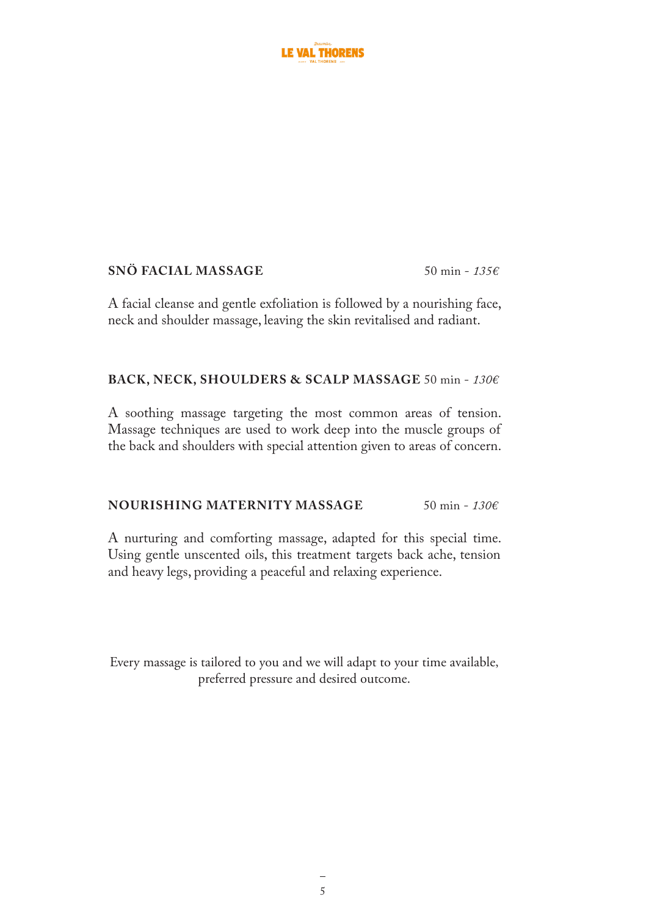

# **SNÖ FACIAL MASSAGE** 50 min - *135€*

A facial cleanse and gentle exfoliation is followed by a nourishing face, neck and shoulder massage, leaving the skin revitalised and radiant.

# **BACK, NECK, SHOULDERS & SCALP MASSAGE** 50 min - *130€*

A soothing massage targeting the most common areas of tension. Massage techniques are used to work deep into the muscle groups of the back and shoulders with special attention given to areas of concern.

# **NOURISHING MATERNITY MASSAGE** 50 min - 130€

A nurturing and comforting massage, adapted for this special time. Using gentle unscented oils, this treatment targets back ache, tension and heavy legs, providing a peaceful and relaxing experience.

Every massage is tailored to you and we will adapt to your time available, preferred pressure and desired outcome.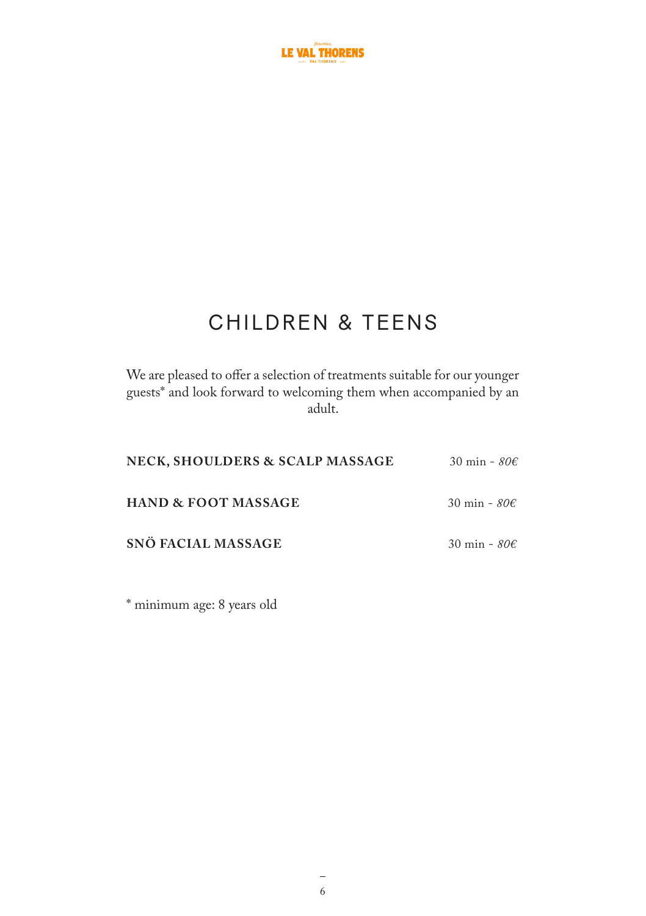

# CHILDREN & TEENS

We are pleased to offer a selection of treatments suitable for our younger guests\* and look forward to welcoming them when accompanied by an adult.

| <b>NECK, SHOULDERS &amp; SCALP MASSAGE</b> | 30 min - $80 \text{ } \in$ |
|--------------------------------------------|----------------------------|
| <b>HAND &amp; FOOT MASSAGE</b>             | 30 min - $80 \in$          |
| SNÖ FACIAL MASSAGE                         | 30 min - $80 \in$          |

\* minimum age: 8 years old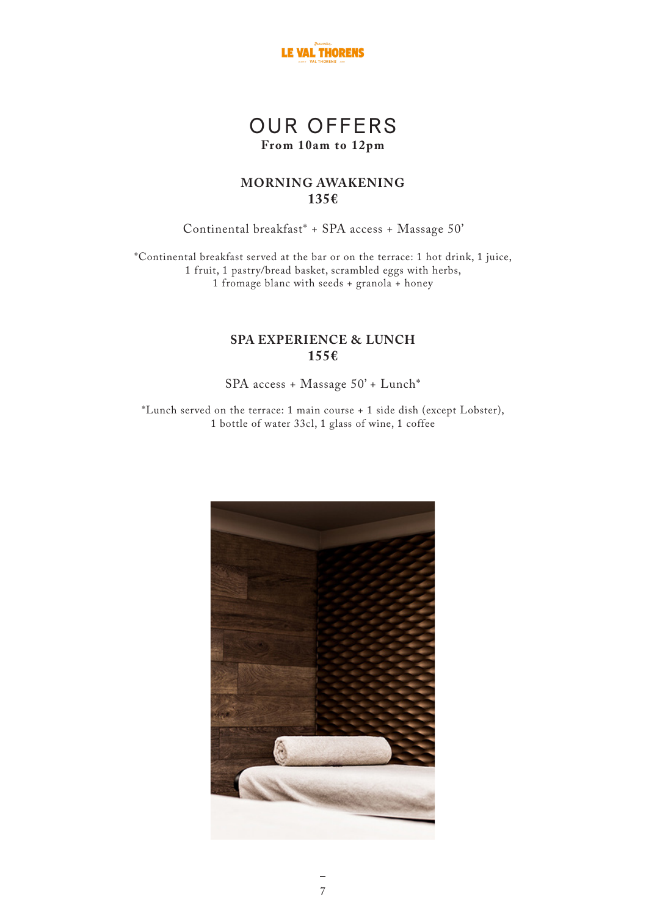

# OUR OFFERS **From 10am to 12pm**

# **MORNING AWAKENING 135€**

Continental breakfast\* + SPA access + Massage 50'

\*Continental breakfast served at the bar or on the terrace: 1 hot drink, 1 juice, 1 fruit, 1 pastry/bread basket, scrambled eggs with herbs, 1 fromage blanc with seeds + granola + honey

# **SPA EXPERIENCE & LUNCH 155€**

SPA access + Massage 50' + Lunch\*

\*Lunch served on the terrace: 1 main course + 1 side dish (except Lobster), 1 bottle of water 33cl, 1 glass of wine, 1 coffee

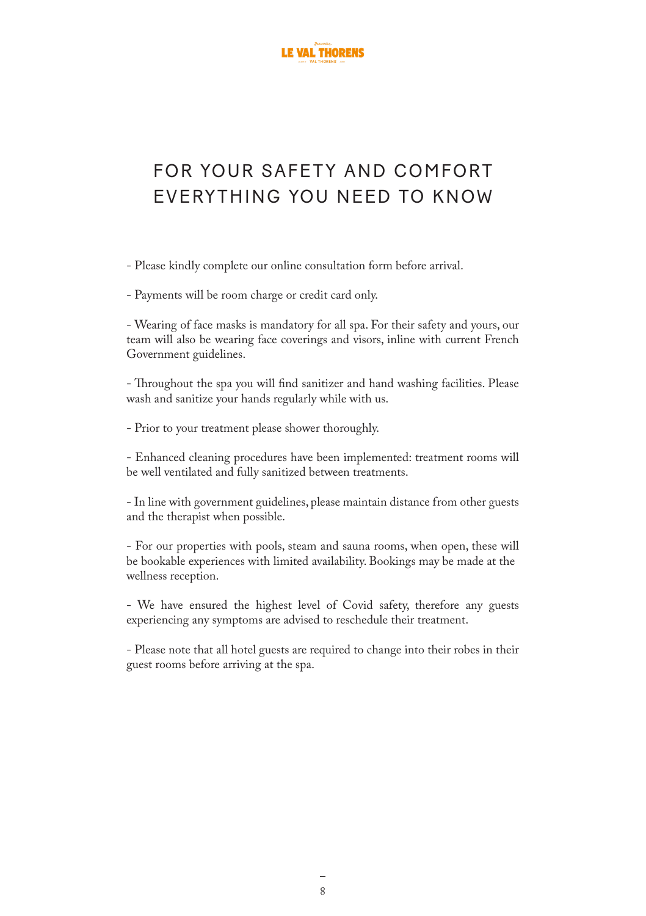

# FOR YOUR SAFETY AND COMFORT EVERYTHING YOU NEED TO KNOW

- Please kindly complete our online consultation form before arrival.

- Payments will be room charge or credit card only.

- Wearing of face masks is mandatory for all spa. For their safety and yours, our team will also be wearing face coverings and visors, inline with current French Government guidelines.

- Throughout the spa you will find sanitizer and hand washing facilities. Please wash and sanitize your hands regularly while with us.

- Prior to your treatment please shower thoroughly.

- Enhanced cleaning procedures have been implemented: treatment rooms will be well ventilated and fully sanitized between treatments.

- In line with government guidelines, please maintain distance from other guests and the therapist when possible.

- For our properties with pools, steam and sauna rooms, when open, these will be bookable experiences with limited availability. Bookings may be made at the wellness reception.

- We have ensured the highest level of Covid safety, therefore any guests experiencing any symptoms are advised to reschedule their treatment.

- Please note that all hotel guests are required to change into their robes in their guest rooms before arriving at the spa.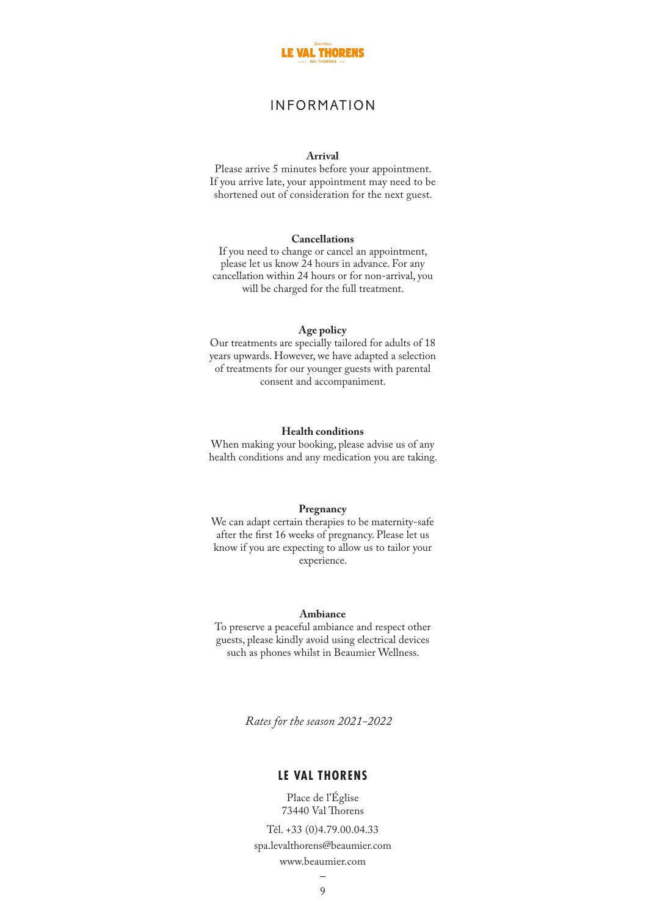

# INFORMATION

#### **Arrival**

Please arrive 5 minutes before your appointment. If you arrive late, your appointment may need to be shortened out of consideration for the next guest.

### **Cancellations**

If you need to change or cancel an appointment, please let us know 24 hours in advance. For any cancellation within 24 hours or for non-arrival, you will be charged for the full treatment.

### **Age policy**

Our treatments are specially tailored for adults of 18 years upwards. However, we have adapted a selection of treatments for our younger guests with parental consent and accompaniment.

### **Health conditions**

When making your booking, please advise us of any health conditions and any medication you are taking.

#### **Pregnancy**

We can adapt certain therapies to be maternity-safe after the first 16 weeks of pregnancy. Please let us know if you are expecting to allow us to tailor your experience.

#### **Ambiance**

To preserve a peaceful ambiance and respect other guests, please kindly avoid using electrical devices such as phones whilst in Beaumier Wellness.

*Rates for the season 2021-2022*

## **LE VAL THORENS**

Place de l'Église 73440 Val Thorens

Tél. +33 (0)4.79.00.04.33

spa.levalthorens@beaumier.com

### www.beaumier.com

9